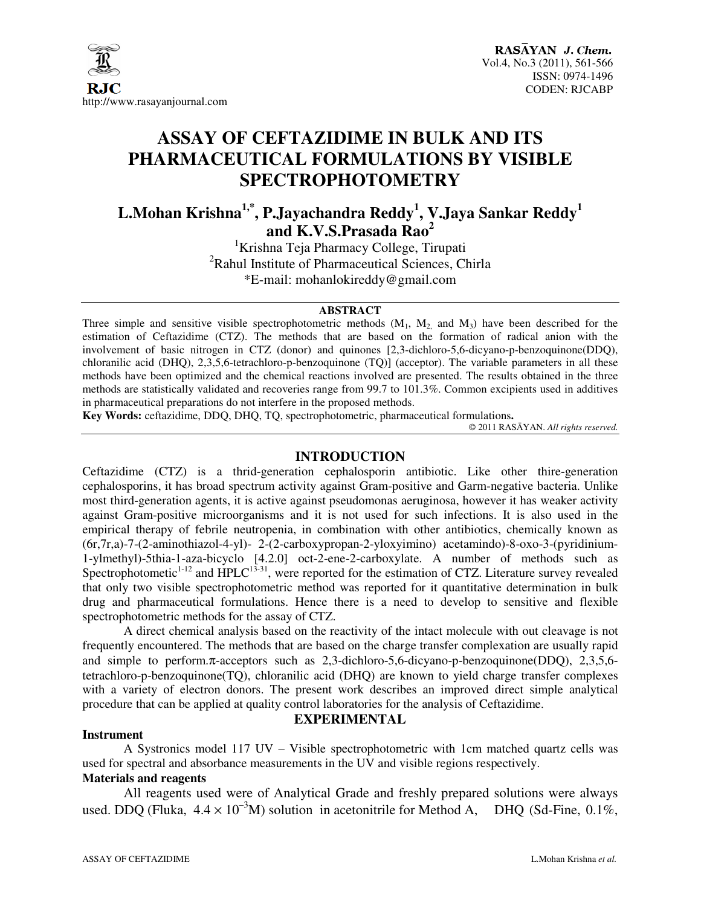

# **ASSAY OF CEFTAZIDIME IN BULK AND ITS PHARMACEUTICAL FORMULATIONS BY VISIBLE SPECTROPHOTOMETRY**

**L.Mohan Krishna1,\*, P.Jayachandra Reddy<sup>1</sup> , V.Jaya Sankar Reddy<sup>1</sup> and K.V.S.Prasada Rao<sup>2</sup>**

<sup>1</sup>Krishna Teja Pharmacy College, Tirupati <sup>2</sup>Rahul Institute of Pharmaceutical Sciences, Chirla \*E-mail: mohanlokireddy@gmail.com

#### **ABSTRACT**

Three simple and sensitive visible spectrophotometric methods  $(M_1, M_2)$  and  $M_3$ ) have been described for the estimation of Ceftazidime (CTZ). The methods that are based on the formation of radical anion with the involvement of basic nitrogen in CTZ (donor) and quinones [2,3-dichloro-5,6-dicyano-p-benzoquinone(DDQ), chloranilic acid (DHQ), 2,3,5,6-tetrachloro-p-benzoquinone (TQ)] (acceptor). The variable parameters in all these methods have been optimized and the chemical reactions involved are presented. The results obtained in the three methods are statistically validated and recoveries range from 99.7 to 101.3%. Common excipients used in additives in pharmaceutical preparations do not interfere in the proposed methods.

**Key Words:** ceftazidime, DDQ, DHQ, TQ, spectrophotometric, pharmaceutical formulations**.** 

© 2011 RASĀYAN. *All rights reserved.*

## **INTRODUCTION**

Ceftazidime (CTZ) is a thrid-generation cephalosporin antibiotic. Like other thire-generation cephalosporins, it has broad spectrum activity against Gram-positive and Garm-negative bacteria. Unlike most third-generation agents, it is active against pseudomonas aeruginosa, however it has weaker activity against Gram-positive microorganisms and it is not used for such infections. It is also used in the empirical therapy of febrile neutropenia, in combination with other antibiotics, chemically known as (6r,7r,a)-7-(2-aminothiazol-4-yl)- 2-(2-carboxypropan-2-yloxyimino) acetamindo)-8-oxo-3-(pyridinium-1-ylmethyl)-5thia-1-aza-bicyclo [4.2.0] oct-2-ene-2-carboxylate. A number of methods such as Spectrophotometic<sup>1-12</sup> and  $HPLC<sup>13-31</sup>$ , were reported for the estimation of CTZ. Literature survey revealed that only two visible spectrophotometric method was reported for it quantitative determination in bulk drug and pharmaceutical formulations. Hence there is a need to develop to sensitive and flexible spectrophotometric methods for the assay of CTZ.

A direct chemical analysis based on the reactivity of the intact molecule with out cleavage is not frequently encountered. The methods that are based on the charge transfer complexation are usually rapid and simple to perform.π-acceptors such as 2,3-dichloro-5,6-dicyano-p-benzoquinone(DDQ), 2,3,5,6 tetrachloro-p-benzoquinone(TQ), chloranilic acid (DHQ) are known to yield charge transfer complexes with a variety of electron donors. The present work describes an improved direct simple analytical procedure that can be applied at quality control laboratories for the analysis of Ceftazidime.

# **EXPERIMENTAL**

## **Instrument**

A Systronics model 117 UV – Visible spectrophotometric with 1cm matched quartz cells was used for spectral and absorbance measurements in the UV and visible regions respectively.

# **Materials and reagents**

All reagents used were of Analytical Grade and freshly prepared solutions were always used. DDQ (Fluka,  $4.4 \times 10^{-3}$ M) solution in acetonitrile for Method A, DHQ (Sd-Fine, 0.1%,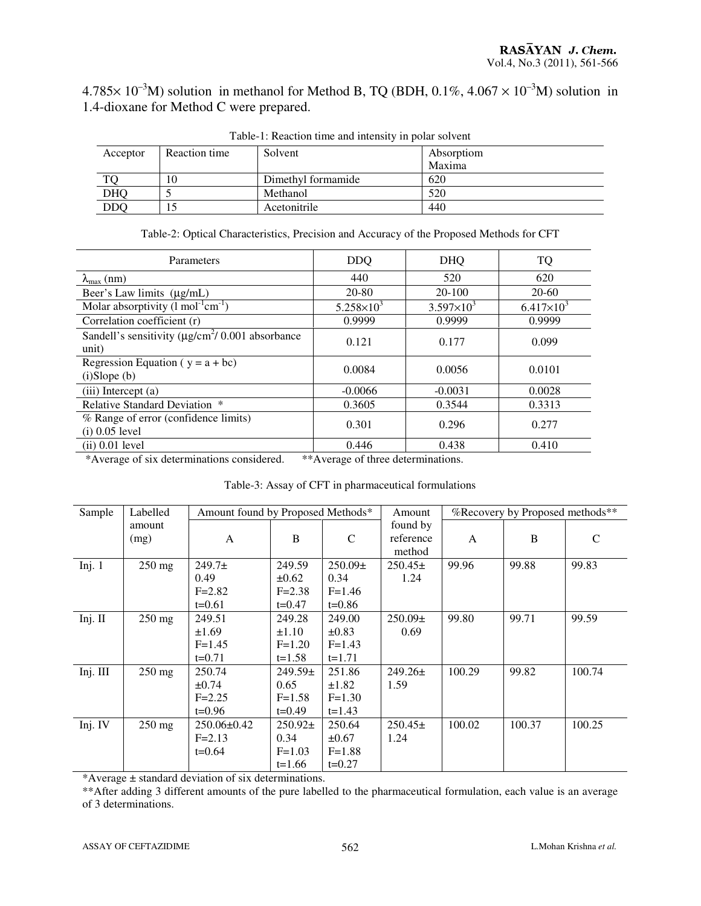$4.785\times 10^{-3}$ M) solution in methanol for Method B, TQ (BDH, 0.1%, 4.067  $\times 10^{-3}$ M) solution in 1.4-dioxane for Method C were prepared.

| Twore it recovered there were intended in point corrent |               |                    |            |  |  |
|---------------------------------------------------------|---------------|--------------------|------------|--|--|
| Acceptor                                                | Reaction time | Solvent            | Absorptiom |  |  |
|                                                         |               |                    | Maxima     |  |  |
|                                                         | 10            | Dimethyl formamide | 620        |  |  |
| <b>DHQ</b>                                              |               | Methanol           | 520        |  |  |
| <b>DDQ</b>                                              |               | Acetonitrile       | 440        |  |  |

Table-1: Reaction time and intensity in polar solvent

| Table-2: Optical Characteristics, Precision and Accuracy of the Proposed Methods for CFT |  |  |  |
|------------------------------------------------------------------------------------------|--|--|--|
|------------------------------------------------------------------------------------------|--|--|--|

| Parameters                                                                  | <b>DDQ</b>          | <b>DHQ</b>            | TQ                  |
|-----------------------------------------------------------------------------|---------------------|-----------------------|---------------------|
| $\lambda_{\text{max}}$ (nm)                                                 | 440                 | 520                   | 620                 |
| Beer's Law limits (µg/mL)                                                   | 20-80               | 20-100                | 20-60               |
| Molar absorptivity $(l \text{ mol}^{-1} \text{cm}^{-1})$                    | $5.258 \times 10^3$ | $3.597 \times 10^{3}$ | $6.417\times10^{3}$ |
| Correlation coefficient (r)                                                 | 0.9999              | 0.9999                | 0.9999              |
| Sandell's sensitivity ( $\mu$ g/cm <sup>2</sup> / 0.001 absorbance<br>unit) | 0.121               | 0.177                 | 0.099               |
| Regression Equation ( $y = a + bc$ )<br>(i) Slope(b)                        | 0.0084              | 0.0056                | 0.0101              |
| (iii) Intercept (a)                                                         | $-0.0066$           | $-0.0031$             | 0.0028              |
| Relative Standard Deviation *                                               | 0.3605              | 0.3544                | 0.3313              |
| % Range of error (confidence limits)<br>$(i)$ 0.05 level                    | 0.301               | 0.296                 | 0.277               |
| $(ii)$ 0.01 level                                                           | 0.446               | 0.438                 | 0.410               |

\*Average of six determinations considered. \*\*Average of three determinations.

|  | Table-3: Assay of CFT in pharmaceutical formulations |
|--|------------------------------------------------------|
|--|------------------------------------------------------|

| Sample   | Labelled         | Amount found by Proposed Methods* |             | %Recovery by Proposed methods**<br>Amount |             |        |        |               |
|----------|------------------|-----------------------------------|-------------|-------------------------------------------|-------------|--------|--------|---------------|
|          | amount           |                                   |             |                                           | found by    |        |        |               |
|          | (mg)             | A                                 | B           | $\mathsf{C}$                              | reference   | A      | B      | $\mathcal{C}$ |
|          |                  |                                   |             |                                           | method      |        |        |               |
| Inj. $1$ | $250$ mg         | $249.7+$                          | 249.59      | $250.09\pm$                               | $250.45\pm$ | 99.96  | 99.88  | 99.83         |
|          |                  | 0.49                              | $\pm 0.62$  | 0.34                                      | 1.24        |        |        |               |
|          |                  | $F = 2.82$                        | $F = 2.38$  | $F=1.46$                                  |             |        |        |               |
|          |                  | $t=0.61$                          | $t=0.47$    | $t=0.86$                                  |             |        |        |               |
| Inj. II  | $250$ mg         | 249.51                            | 249.28      | 249.00                                    | $250.09\pm$ | 99.80  | 99.71  | 99.59         |
|          |                  | $\pm 1.69$                        | $\pm 1.10$  | $\pm 0.83$                                | 0.69        |        |        |               |
|          |                  | $F = 1.45$                        | $F=1.20$    | $F = 1.43$                                |             |        |        |               |
|          |                  | $t=0.71$                          | $t = 1.58$  | $t = 1.71$                                |             |        |        |               |
| Inj. III | $250 \text{ mg}$ | 250.74                            | $249.59\pm$ | 251.86                                    | $249.26\pm$ | 100.29 | 99.82  | 100.74        |
|          |                  | $\pm 0.74$                        | 0.65        | $\pm 1.82$                                | 1.59        |        |        |               |
|          |                  | $F = 2.25$                        | $F = 1.58$  | $F=1.30$                                  |             |        |        |               |
|          |                  | $t=0.96$                          | $t=0.49$    | $t=1.43$                                  |             |        |        |               |
| Inj. IV  | $250 \text{ mg}$ | $250.06 \pm 0.42$                 | $250.92\pm$ | 250.64                                    | $250.45\pm$ | 100.02 | 100.37 | 100.25        |
|          |                  | $F = 2.13$                        | 0.34        | $\pm 0.67$                                | 1.24        |        |        |               |
|          |                  | $t=0.64$                          | $F = 1.03$  | $F=1.88$                                  |             |        |        |               |
|          |                  |                                   | $t=1.66$    | $t = 0.27$                                |             |        |        |               |

\*Average ± standard deviation of six determinations.

\*\*After adding 3 different amounts of the pure labelled to the pharmaceutical formulation, each value is an average of 3 determinations.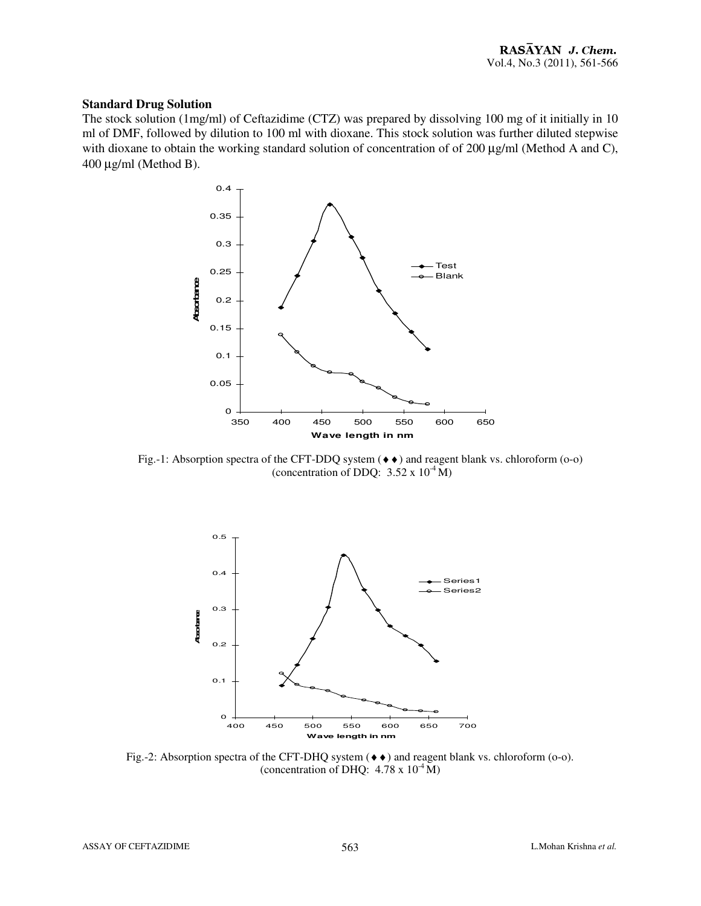## **Standard Drug Solution**

The stock solution (1mg/ml) of Ceftazidime (CTZ) was prepared by dissolving 100 mg of it initially in 10 ml of DMF, followed by dilution to 100 ml with dioxane. This stock solution was further diluted stepwise with dioxane to obtain the working standard solution of concentration of of 200  $\mu$ g/ml (Method A and C), 400 µg/ml (Method B).



Fig.-1: Absorption spectra of the CFT-DDQ system  $(\bullet \bullet)$  and reagent blank vs. chloroform (o-o) (concentration of DDQ:  $3.52 \times 10^{-4}$  M)



Fig.-2: Absorption spectra of the CFT-DHQ system (♦♦) and reagent blank vs. chloroform (o-o). (concentration of DHQ:  $4.78 \times 10^{-4}$  M)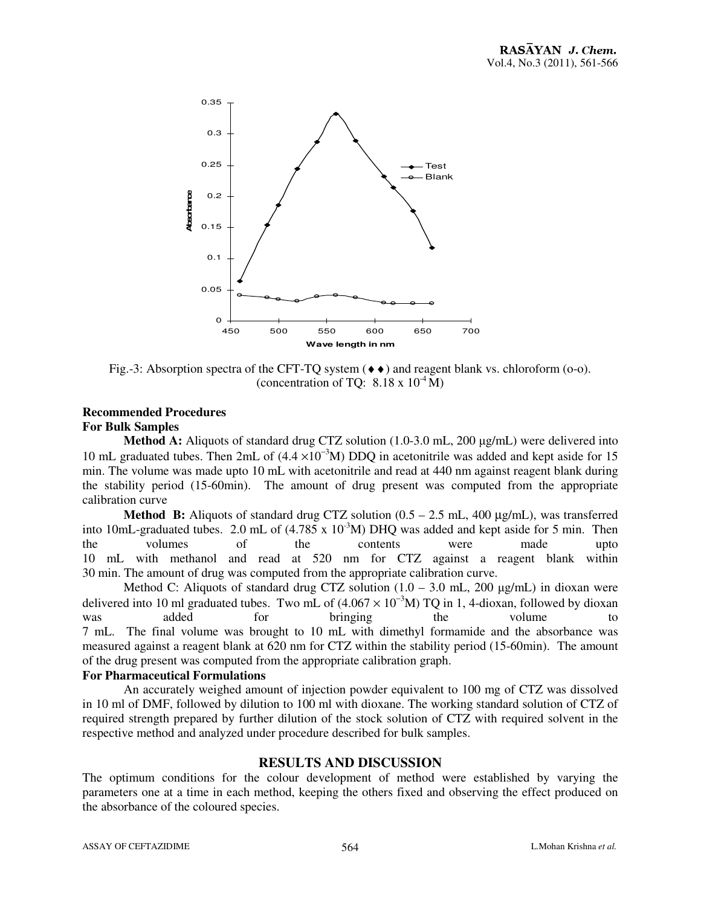

Fig.-3: Absorption spectra of the CFT-TO system  $(\bullet \bullet)$  and reagent blank vs. chloroform (o-o). (concentration of TQ:  $8.18 \times 10^{-4}$  M)

## **Recommended Procedures For Bulk Samples**

**Method A:** Aliquots of standard drug CTZ solution (1.0-3.0 mL, 200  $\mu$ g/mL) were delivered into 10 mL graduated tubes. Then 2mL of  $(4.4 \times 10^{-3} M)$  DDO in acetonitrile was added and kept aside for 15 min. The volume was made upto 10 mL with acetonitrile and read at 440 nm against reagent blank during the stability period (15-60min). The amount of drug present was computed from the appropriate calibration curve

**Method B:** Aliquots of standard drug CTZ solution (0.5 – 2.5 mL, 400 µg/mL), was transferred into 10mL-graduated tubes. 2.0 mL of  $(4.785 \times 10^{-3} M)$  DHQ was added and kept aside for 5 min. Then the volumes of the contents were made upto 10 mL with methanol and read at 520 nm for CTZ against a reagent blank within 30 min. The amount of drug was computed from the appropriate calibration curve.

Method C: Aliquots of standard drug CTZ solution  $(1.0 - 3.0 \text{ mL}, 200 \text{ µg/mL})$  in dioxan were delivered into 10 ml graduated tubes. Two mL of  $(4.067 \times 10^{-3} M)$  TQ in 1, 4-dioxan, followed by dioxan was added for bringing the volume to 7 mL. The final volume was brought to 10 mL with dimethyl formamide and the absorbance was measured against a reagent blank at 620 nm for CTZ within the stability period (15-60min). The amount of the drug present was computed from the appropriate calibration graph.

## **For Pharmaceutical Formulations**

An accurately weighed amount of injection powder equivalent to 100 mg of CTZ was dissolved in 10 ml of DMF, followed by dilution to 100 ml with dioxane. The working standard solution of CTZ of required strength prepared by further dilution of the stock solution of CTZ with required solvent in the respective method and analyzed under procedure described for bulk samples.

# **RESULTS AND DISCUSSION**

The optimum conditions for the colour development of method were established by varying the parameters one at a time in each method, keeping the others fixed and observing the effect produced on the absorbance of the coloured species.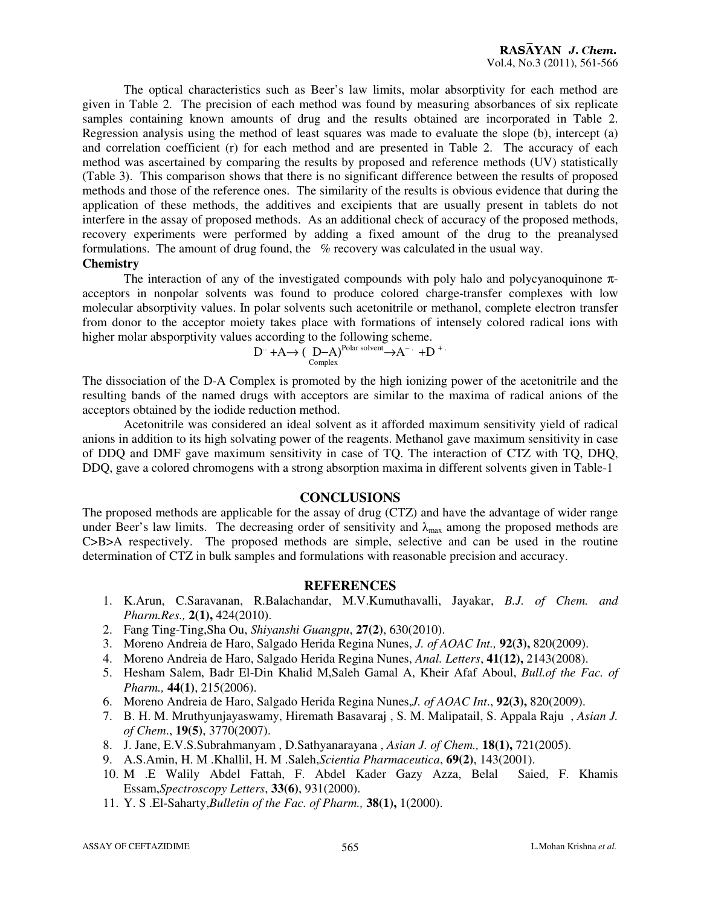The optical characteristics such as Beer's law limits, molar absorptivity for each method are given in Table 2. The precision of each method was found by measuring absorbances of six replicate samples containing known amounts of drug and the results obtained are incorporated in Table 2. Regression analysis using the method of least squares was made to evaluate the slope (b), intercept (a) and correlation coefficient (r) for each method and are presented in Table 2. The accuracy of each method was ascertained by comparing the results by proposed and reference methods (UV) statistically (Table 3). This comparison shows that there is no significant difference between the results of proposed methods and those of the reference ones. The similarity of the results is obvious evidence that during the application of these methods, the additives and excipients that are usually present in tablets do not interfere in the assay of proposed methods. As an additional check of accuracy of the proposed methods, recovery experiments were performed by adding a fixed amount of the drug to the preanalysed formulations. The amount of drug found, the % recovery was calculated in the usual way.

# **Chemistry**

The interaction of any of the investigated compounds with poly halo and polycyanoquinone  $\pi$ acceptors in nonpolar solvents was found to produce colored charge-transfer complexes with low molecular absorptivity values. In polar solvents such acetonitrile or methanol, complete electron transfer from donor to the acceptor moiety takes place with formations of intensely colored radical ions with higher molar absporptivity values according to the following scheme.

$$
D^{\cdot} + A \rightarrow (D - A)^{\text{Polar solvent}} \rightarrow A^{-} \cdot + D^{+}
$$

The dissociation of the D-A Complex is promoted by the high ionizing power of the acetonitrile and the resulting bands of the named drugs with acceptors are similar to the maxima of radical anions of the acceptors obtained by the iodide reduction method.

Acetonitrile was considered an ideal solvent as it afforded maximum sensitivity yield of radical anions in addition to its high solvating power of the reagents. Methanol gave maximum sensitivity in case of DDQ and DMF gave maximum sensitivity in case of TQ. The interaction of CTZ with TQ, DHQ, DDQ, gave a colored chromogens with a strong absorption maxima in different solvents given in Table-1

## **CONCLUSIONS**

The proposed methods are applicable for the assay of drug (CTZ) and have the advantage of wider range under Beer's law limits. The decreasing order of sensitivity and  $\lambda_{\text{max}}$  among the proposed methods are C>B>A respectively. The proposed methods are simple, selective and can be used in the routine determination of CTZ in bulk samples and formulations with reasonable precision and accuracy.

## **REFERENCES**

- 1. K.Arun, C.Saravanan, R.Balachandar, M.V.Kumuthavalli, Jayakar, *B.J. of Chem. and Pharm.Res.,* **2(1),** 424(2010).
- 2. Fang Ting-Ting,Sha Ou, *Shiyanshi Guangpu*, **27(2)**, 630(2010).
- 3. Moreno Andreia de Haro, Salgado Herida Regina Nunes, *J. of AOAC Int.,* **92(3),** 820(2009).
- 4. Moreno Andreia de Haro, Salgado Herida Regina Nunes, *Anal. Letters*, **41(12),** 2143(2008).
- 5. Hesham Salem, Badr El-Din Khalid M,Saleh Gamal A, Kheir Afaf Aboul, *Bull.of the Fac. of Pharm.,* **44(1)**, 215(2006).
- 6. Moreno Andreia de Haro, Salgado Herida Regina Nunes,*J. of AOAC Int*., **92(3),** 820(2009).
- 7. B. H. M. Mruthyunjayaswamy, Hiremath Basavaraj , S. M. Malipatail, S. Appala Raju , *Asian J. of Chem*., **19(5)**, 3770(2007).
- 8. J. Jane, E.V.S.Subrahmanyam , D.Sathyanarayana , *Asian J. of Chem.,* **18(1),** 721(2005).
- 9. A.S.Amin, H. M .Khallil, H. M .Saleh,*Scientia Pharmaceutica*, **69(2)**, 143(2001).
- 10. M .E Walily Abdel Fattah, F. Abdel Kader Gazy Azza, Belal Saied, F. Khamis Essam,*Spectroscopy Letters*, **33(6)**, 931(2000).
- 11. Y. S .El-Saharty,*Bulletin of the Fac. of Pharm.,* **38(1),** 1(2000).